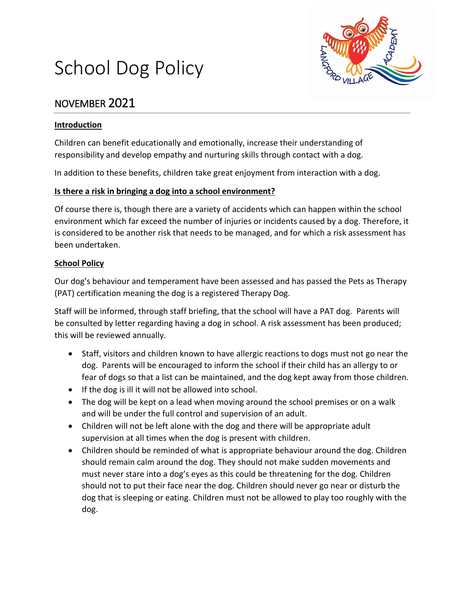

# School Dog Policy

## NOVEMBER 2021

### **Introduction**

Children can benefit educationally and emotionally, increase their understanding of responsibility and develop empathy and nurturing skills through contact with a dog.

In addition to these benefits, children take great enjoyment from interaction with a dog.

### **Is there a risk in bringing a dog into a school environment?**

Of course there is, though there are a variety of accidents which can happen within the school environment which far exceed the number of injuries or incidents caused by a dog. Therefore, it is considered to be another risk that needs to be managed, and for which a risk assessment has been undertaken.

### **School Policy**

Our dog's behaviour and temperament have been assessed and has passed the Pets as Therapy (PAT) certification meaning the dog is a registered Therapy Dog.

Staff will be informed, through staff briefing, that the school will have a PAT dog. Parents will be consulted by letter regarding having a dog in school. A risk assessment has been produced; this will be reviewed annually.

- Staff, visitors and children known to have allergic reactions to dogs must not go near the dog. Parents will be encouraged to inform the school if their child has an allergy to or fear of dogs so that a list can be maintained, and the dog kept away from those children.
- If the dog is ill it will not be allowed into school.
- The dog will be kept on a lead when moving around the school premises or on a walk and will be under the full control and supervision of an adult.
- Children will not be left alone with the dog and there will be appropriate adult supervision at all times when the dog is present with children.
- Children should be reminded of what is appropriate behaviour around the dog. Children should remain calm around the dog. They should not make sudden movements and must never stare into a dog's eyes as this could be threatening for the dog. Children should not to put their face near the dog. Children should never go near or disturb the dog that is sleeping or eating. Children must not be allowed to play too roughly with the dog.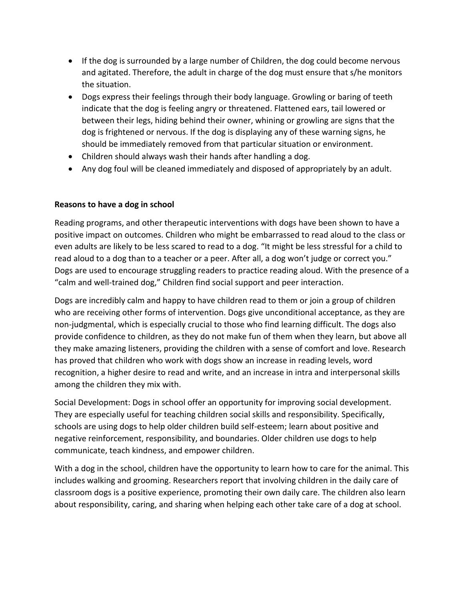- If the dog is surrounded by a large number of Children, the dog could become nervous and agitated. Therefore, the adult in charge of the dog must ensure that s/he monitors the situation.
- Dogs express their feelings through their body language. Growling or baring of teeth indicate that the dog is feeling angry or threatened. Flattened ears, tail lowered or between their legs, hiding behind their owner, whining or growling are signs that the dog is frightened or nervous. If the dog is displaying any of these warning signs, he should be immediately removed from that particular situation or environment.
- Children should always wash their hands after handling a dog.
- Any dog foul will be cleaned immediately and disposed of appropriately by an adult.

#### **Reasons to have a dog in school**

Reading programs, and other therapeutic interventions with dogs have been shown to have a positive impact on outcomes. Children who might be embarrassed to read aloud to the class or even adults are likely to be less scared to read to a dog. "It might be less stressful for a child to read aloud to a dog than to a teacher or a peer. After all, a dog won't judge or correct you." Dogs are used to encourage struggling readers to practice reading aloud. With the presence of a "calm and well-trained dog," Children find social support and peer interaction.

Dogs are incredibly calm and happy to have children read to them or join a group of children who are receiving other forms of intervention. Dogs give unconditional acceptance, as they are non-judgmental, which is especially crucial to those who find learning difficult. The dogs also provide confidence to children, as they do not make fun of them when they learn, but above all they make amazing listeners, providing the children with a sense of comfort and love. Research has proved that children who work with dogs show an increase in reading levels, word recognition, a higher desire to read and write, and an increase in intra and interpersonal skills among the children they mix with.

Social Development: Dogs in school offer an opportunity for improving social development. They are especially useful for teaching children social skills and responsibility. Specifically, schools are using dogs to help older children build self-esteem; learn about positive and negative reinforcement, responsibility, and boundaries. Older children use dogs to help communicate, teach kindness, and empower children.

With a dog in the school, children have the opportunity to learn how to care for the animal. This includes walking and grooming. Researchers report that involving children in the daily care of classroom dogs is a positive experience, promoting their own daily care. The children also learn about responsibility, caring, and sharing when helping each other take care of a dog at school.